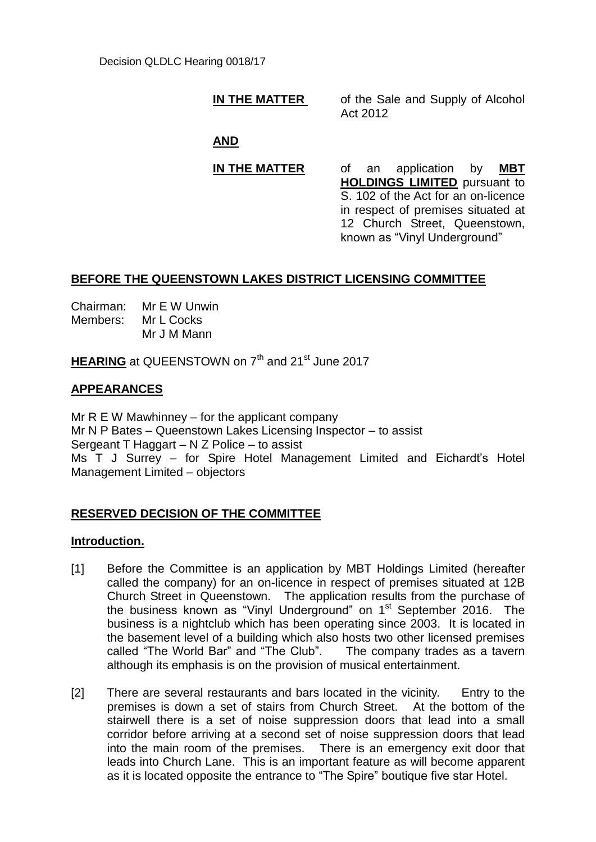Decision QLDLC Hearing 0018/17

# **IN THE MATTER** of the Sale and Supply of Alcohol

Act 2012

# **AND**

**IN THE MATTER** of an application by **MBT HOLDINGS LIMITED** pursuant to S. 102 of the Act for an on-licence in respect of premises situated at 12 Church Street, Queenstown, known as "Vinyl Underground"

# **BEFORE THE QUEENSTOWN LAKES DISTRICT LICENSING COMMITTEE**

Chairman: Mr E W Unwin Members: Mr L Cocks Mr J M Mann

**HEARING** at QUEENSTOWN on 7<sup>th</sup> and 21<sup>st</sup> June 2017

## **APPEARANCES**

Mr  $R \to W$  Mawhinney – for the applicant company Mr N P Bates – Queenstown Lakes Licensing Inspector – to assist Sergeant T Haggart – N Z Police – to assist Ms T J Surrey – for Spire Hotel Management Limited and Eichardt's Hotel Management Limited – objectors

# **RESERVED DECISION OF THE COMMITTEE**

## **Introduction.**

- [1] Before the Committee is an application by MBT Holdings Limited (hereafter called the company) for an on-licence in respect of premises situated at 12B Church Street in Queenstown. The application results from the purchase of the business known as "Vinyl Underground" on 1<sup>st</sup> September 2016. The business is a nightclub which has been operating since 2003. It is located in the basement level of a building which also hosts two other licensed premises called "The World Bar" and "The Club". The company trades as a tavern although its emphasis is on the provision of musical entertainment.
- [2] There are several restaurants and bars located in the vicinity. Entry to the premises is down a set of stairs from Church Street. At the bottom of the stairwell there is a set of noise suppression doors that lead into a small corridor before arriving at a second set of noise suppression doors that lead into the main room of the premises. There is an emergency exit door that leads into Church Lane. This is an important feature as will become apparent as it is located opposite the entrance to "The Spire" boutique five star Hotel.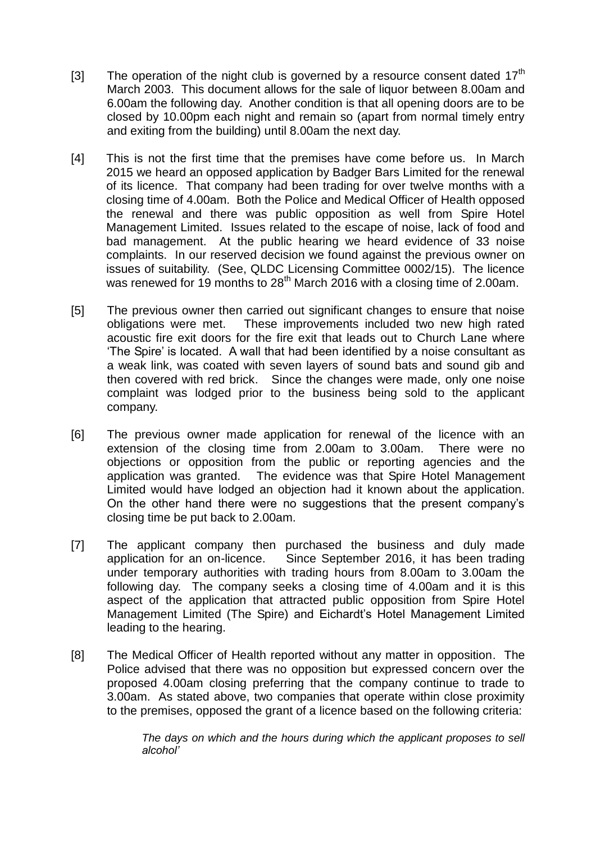- [3] The operation of the night club is governed by a resource consent dated  $17<sup>th</sup>$ March 2003. This document allows for the sale of liquor between 8.00am and 6.00am the following day. Another condition is that all opening doors are to be closed by 10.00pm each night and remain so (apart from normal timely entry and exiting from the building) until 8.00am the next day.
- [4] This is not the first time that the premises have come before us. In March 2015 we heard an opposed application by Badger Bars Limited for the renewal of its licence. That company had been trading for over twelve months with a closing time of 4.00am. Both the Police and Medical Officer of Health opposed the renewal and there was public opposition as well from Spire Hotel Management Limited. Issues related to the escape of noise, lack of food and bad management. At the public hearing we heard evidence of 33 noise complaints. In our reserved decision we found against the previous owner on issues of suitability. (See, QLDC Licensing Committee 0002/15). The licence was renewed for 19 months to 28<sup>th</sup> March 2016 with a closing time of 2.00am.
- [5] The previous owner then carried out significant changes to ensure that noise obligations were met. These improvements included two new high rated acoustic fire exit doors for the fire exit that leads out to Church Lane where 'The Spire' is located. A wall that had been identified by a noise consultant as a weak link, was coated with seven layers of sound bats and sound gib and then covered with red brick. Since the changes were made, only one noise complaint was lodged prior to the business being sold to the applicant company.
- [6] The previous owner made application for renewal of the licence with an extension of the closing time from 2.00am to 3.00am. There were no objections or opposition from the public or reporting agencies and the application was granted. The evidence was that Spire Hotel Management Limited would have lodged an objection had it known about the application. On the other hand there were no suggestions that the present company's closing time be put back to 2.00am.
- [7] The applicant company then purchased the business and duly made application for an on-licence. Since September 2016, it has been trading under temporary authorities with trading hours from 8.00am to 3.00am the following day. The company seeks a closing time of 4.00am and it is this aspect of the application that attracted public opposition from Spire Hotel Management Limited (The Spire) and Eichardt's Hotel Management Limited leading to the hearing.
- [8] The Medical Officer of Health reported without any matter in opposition. The Police advised that there was no opposition but expressed concern over the proposed 4.00am closing preferring that the company continue to trade to 3.00am. As stated above, two companies that operate within close proximity to the premises, opposed the grant of a licence based on the following criteria:

*The days on which and the hours during which the applicant proposes to sell alcohol'*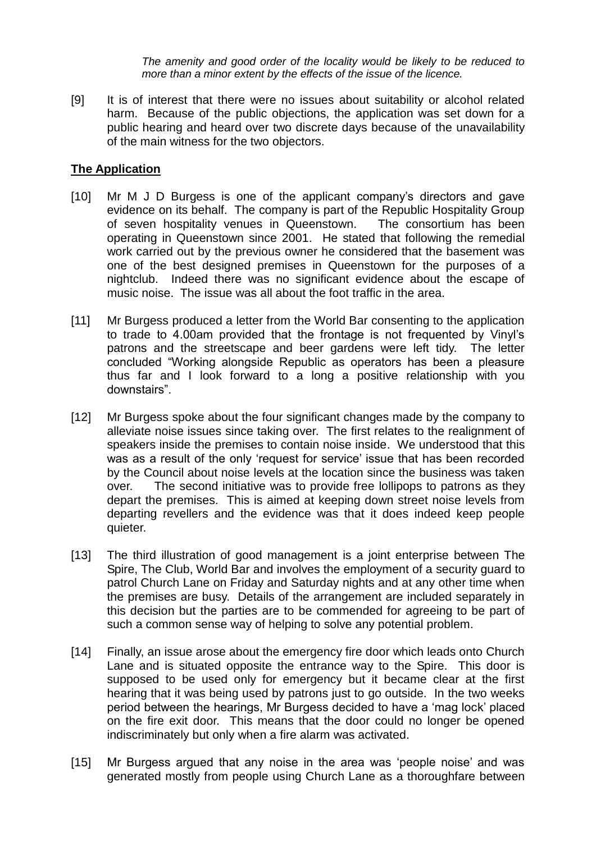*The amenity and good order of the locality would be likely to be reduced to more than a minor extent by the effects of the issue of the licence.* 

[9] It is of interest that there were no issues about suitability or alcohol related harm. Because of the public objections, the application was set down for a public hearing and heard over two discrete days because of the unavailability of the main witness for the two objectors.

# **The Application**

- [10] Mr M J D Burgess is one of the applicant company's directors and gave evidence on its behalf. The company is part of the Republic Hospitality Group of seven hospitality venues in Queenstown. The consortium has been operating in Queenstown since 2001. He stated that following the remedial work carried out by the previous owner he considered that the basement was one of the best designed premises in Queenstown for the purposes of a nightclub. Indeed there was no significant evidence about the escape of music noise. The issue was all about the foot traffic in the area.
- [11] Mr Burgess produced a letter from the World Bar consenting to the application to trade to 4.00am provided that the frontage is not frequented by Vinyl's patrons and the streetscape and beer gardens were left tidy. The letter concluded "Working alongside Republic as operators has been a pleasure thus far and I look forward to a long a positive relationship with you downstairs".
- [12] Mr Burgess spoke about the four significant changes made by the company to alleviate noise issues since taking over. The first relates to the realignment of speakers inside the premises to contain noise inside. We understood that this was as a result of the only 'request for service' issue that has been recorded by the Council about noise levels at the location since the business was taken over. The second initiative was to provide free lollipops to patrons as they depart the premises. This is aimed at keeping down street noise levels from departing revellers and the evidence was that it does indeed keep people quieter.
- [13] The third illustration of good management is a joint enterprise between The Spire, The Club, World Bar and involves the employment of a security guard to patrol Church Lane on Friday and Saturday nights and at any other time when the premises are busy. Details of the arrangement are included separately in this decision but the parties are to be commended for agreeing to be part of such a common sense way of helping to solve any potential problem.
- [14] Finally, an issue arose about the emergency fire door which leads onto Church Lane and is situated opposite the entrance way to the Spire. This door is supposed to be used only for emergency but it became clear at the first hearing that it was being used by patrons just to go outside. In the two weeks period between the hearings, Mr Burgess decided to have a 'mag lock' placed on the fire exit door. This means that the door could no longer be opened indiscriminately but only when a fire alarm was activated.
- [15] Mr Burgess argued that any noise in the area was 'people noise' and was generated mostly from people using Church Lane as a thoroughfare between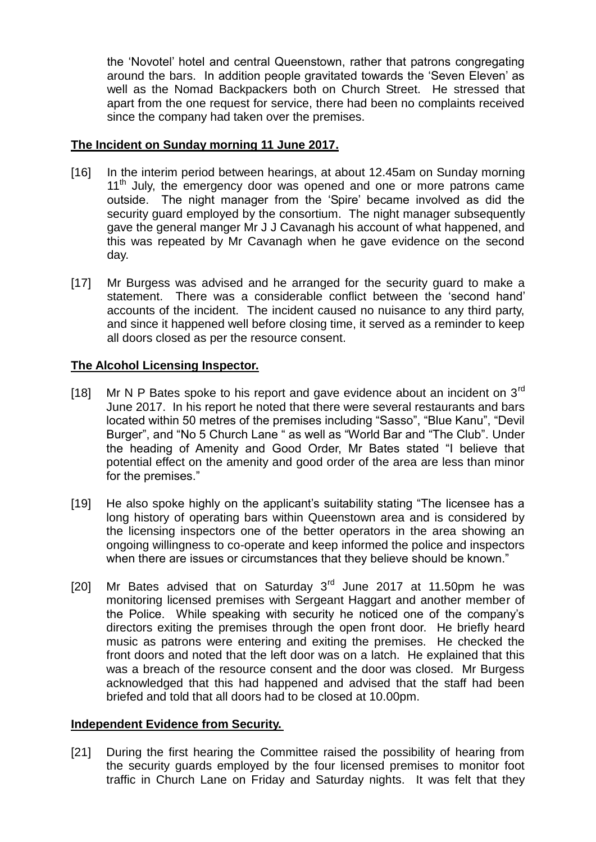the 'Novotel' hotel and central Queenstown, rather that patrons congregating around the bars. In addition people gravitated towards the 'Seven Eleven' as well as the Nomad Backpackers both on Church Street. He stressed that apart from the one request for service, there had been no complaints received since the company had taken over the premises.

# **The Incident on Sunday morning 11 June 2017.**

- [16] In the interim period between hearings, at about 12.45am on Sunday morning 11<sup>th</sup> July, the emergency door was opened and one or more patrons came outside. The night manager from the 'Spire' became involved as did the security guard employed by the consortium. The night manager subsequently gave the general manger Mr J J Cavanagh his account of what happened, and this was repeated by Mr Cavanagh when he gave evidence on the second day.
- [17] Mr Burgess was advised and he arranged for the security guard to make a statement. There was a considerable conflict between the 'second hand' accounts of the incident. The incident caused no nuisance to any third party, and since it happened well before closing time, it served as a reminder to keep all doors closed as per the resource consent.

# **The Alcohol Licensing Inspector.**

- [18] Mr N P Bates spoke to his report and gave evidence about an incident on  $3<sup>rd</sup>$ June 2017. In his report he noted that there were several restaurants and bars located within 50 metres of the premises including "Sasso", "Blue Kanu", "Devil Burger", and "No 5 Church Lane " as well as "World Bar and "The Club". Under the heading of Amenity and Good Order, Mr Bates stated "I believe that potential effect on the amenity and good order of the area are less than minor for the premises."
- [19] He also spoke highly on the applicant's suitability stating "The licensee has a long history of operating bars within Queenstown area and is considered by the licensing inspectors one of the better operators in the area showing an ongoing willingness to co-operate and keep informed the police and inspectors when there are issues or circumstances that they believe should be known."
- [20] Mr Bates advised that on Saturday  $3<sup>rd</sup>$  June 2017 at 11.50pm he was monitoring licensed premises with Sergeant Haggart and another member of the Police. While speaking with security he noticed one of the company's directors exiting the premises through the open front door. He briefly heard music as patrons were entering and exiting the premises. He checked the front doors and noted that the left door was on a latch. He explained that this was a breach of the resource consent and the door was closed. Mr Burgess acknowledged that this had happened and advised that the staff had been briefed and told that all doors had to be closed at 10.00pm.

## **Independent Evidence from Security.**

[21] During the first hearing the Committee raised the possibility of hearing from the security guards employed by the four licensed premises to monitor foot traffic in Church Lane on Friday and Saturday nights. It was felt that they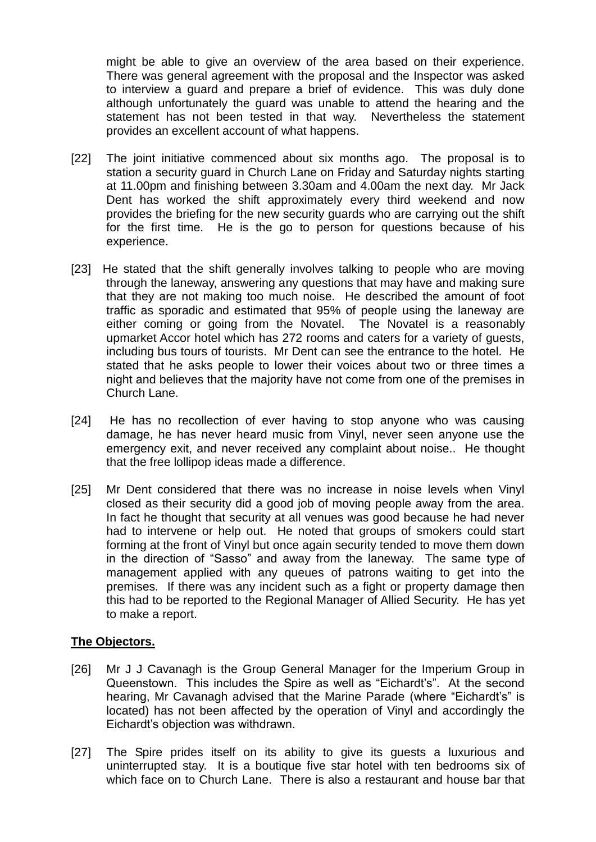might be able to give an overview of the area based on their experience. There was general agreement with the proposal and the Inspector was asked to interview a guard and prepare a brief of evidence. This was duly done although unfortunately the guard was unable to attend the hearing and the statement has not been tested in that way. Nevertheless the statement provides an excellent account of what happens.

- [22] The joint initiative commenced about six months ago. The proposal is to station a security guard in Church Lane on Friday and Saturday nights starting at 11.00pm and finishing between 3.30am and 4.00am the next day. Mr Jack Dent has worked the shift approximately every third weekend and now provides the briefing for the new security guards who are carrying out the shift for the first time. He is the go to person for questions because of his experience.
- [23] He stated that the shift generally involves talking to people who are moving through the laneway, answering any questions that may have and making sure that they are not making too much noise. He described the amount of foot traffic as sporadic and estimated that 95% of people using the laneway are either coming or going from the Novatel. The Novatel is a reasonably upmarket Accor hotel which has 272 rooms and caters for a variety of guests, including bus tours of tourists. Mr Dent can see the entrance to the hotel. He stated that he asks people to lower their voices about two or three times a night and believes that the majority have not come from one of the premises in Church Lane.
- [24] He has no recollection of ever having to stop anyone who was causing damage, he has never heard music from Vinyl, never seen anyone use the emergency exit, and never received any complaint about noise.. He thought that the free lollipop ideas made a difference.
- [25] Mr Dent considered that there was no increase in noise levels when Vinyl closed as their security did a good job of moving people away from the area. In fact he thought that security at all venues was good because he had never had to intervene or help out. He noted that groups of smokers could start forming at the front of Vinyl but once again security tended to move them down in the direction of "Sasso" and away from the laneway. The same type of management applied with any queues of patrons waiting to get into the premises. If there was any incident such as a fight or property damage then this had to be reported to the Regional Manager of Allied Security. He has yet to make a report.

## **The Objectors.**

- [26] Mr J J Cavanagh is the Group General Manager for the Imperium Group in Queenstown. This includes the Spire as well as "Eichardt's". At the second hearing, Mr Cavanagh advised that the Marine Parade (where "Eichardt's" is located) has not been affected by the operation of Vinyl and accordingly the Eichardt's objection was withdrawn.
- [27] The Spire prides itself on its ability to give its guests a luxurious and uninterrupted stay. It is a boutique five star hotel with ten bedrooms six of which face on to Church Lane. There is also a restaurant and house bar that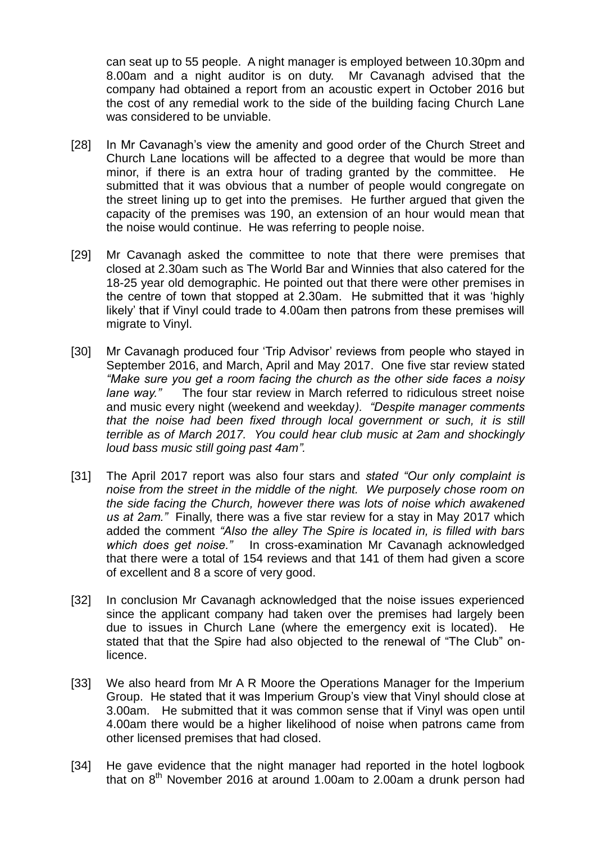can seat up to 55 people. A night manager is employed between 10.30pm and 8.00am and a night auditor is on duty. Mr Cavanagh advised that the company had obtained a report from an acoustic expert in October 2016 but the cost of any remedial work to the side of the building facing Church Lane was considered to be unviable.

- [28] In Mr Cavanagh's view the amenity and good order of the Church Street and Church Lane locations will be affected to a degree that would be more than minor, if there is an extra hour of trading granted by the committee. He submitted that it was obvious that a number of people would congregate on the street lining up to get into the premises. He further argued that given the capacity of the premises was 190, an extension of an hour would mean that the noise would continue. He was referring to people noise.
- [29] Mr Cavanagh asked the committee to note that there were premises that closed at 2.30am such as The World Bar and Winnies that also catered for the 18-25 year old demographic. He pointed out that there were other premises in the centre of town that stopped at 2.30am. He submitted that it was 'highly likely' that if Vinyl could trade to 4.00am then patrons from these premises will migrate to Vinyl.
- [30] Mr Cavanagh produced four 'Trip Advisor' reviews from people who stayed in September 2016, and March, April and May 2017. One five star review stated *"Make sure you get a room facing the church as the other side faces a noisy lane way."* The four star review in March referred to ridiculous street noise and music every night (weekend and weekday*). "Despite manager comments that the noise had been fixed through local government or such, it is still terrible as of March 2017. You could hear club music at 2am and shockingly loud bass music still going past 4am".*
- [31] The April 2017 report was also four stars and *stated "Our only complaint is noise from the street in the middle of the night. We purposely chose room on the side facing the Church, however there was lots of noise which awakened us at 2am."* Finally, there was a five star review for a stay in May 2017 which added the comment *"Also the alley The Spire is located in, is filled with bars which does get noise."* In cross-examination Mr Cavanagh acknowledged that there were a total of 154 reviews and that 141 of them had given a score of excellent and 8 a score of very good.
- [32] In conclusion Mr Cavanagh acknowledged that the noise issues experienced since the applicant company had taken over the premises had largely been due to issues in Church Lane (where the emergency exit is located). He stated that that the Spire had also objected to the renewal of "The Club" onlicence.
- [33] We also heard from Mr A R Moore the Operations Manager for the Imperium Group. He stated that it was Imperium Group's view that Vinyl should close at 3.00am. He submitted that it was common sense that if Vinyl was open until 4.00am there would be a higher likelihood of noise when patrons came from other licensed premises that had closed.
- [34] He gave evidence that the night manager had reported in the hotel logbook that on  $8<sup>th</sup>$  November 2016 at around 1.00am to 2.00am a drunk person had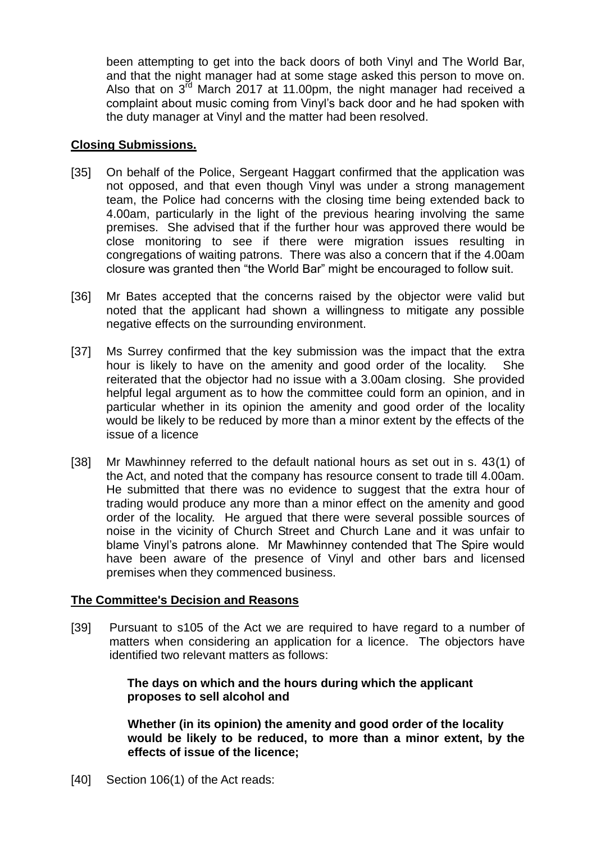been attempting to get into the back doors of both Vinyl and The World Bar, and that the night manager had at some stage asked this person to move on. Also that on  $3<sup>rd</sup>$  March 2017 at 11.00pm, the night manager had received a complaint about music coming from Vinyl's back door and he had spoken with the duty manager at Vinyl and the matter had been resolved.

## **Closing Submissions.**

- [35] On behalf of the Police, Sergeant Haggart confirmed that the application was not opposed, and that even though Vinyl was under a strong management team, the Police had concerns with the closing time being extended back to 4.00am, particularly in the light of the previous hearing involving the same premises. She advised that if the further hour was approved there would be close monitoring to see if there were migration issues resulting in congregations of waiting patrons. There was also a concern that if the 4.00am closure was granted then "the World Bar" might be encouraged to follow suit.
- [36] Mr Bates accepted that the concerns raised by the objector were valid but noted that the applicant had shown a willingness to mitigate any possible negative effects on the surrounding environment.
- [37] Ms Surrey confirmed that the key submission was the impact that the extra hour is likely to have on the amenity and good order of the locality. She reiterated that the objector had no issue with a 3.00am closing. She provided helpful legal argument as to how the committee could form an opinion, and in particular whether in its opinion the amenity and good order of the locality would be likely to be reduced by more than a minor extent by the effects of the issue of a licence
- [38] Mr Mawhinney referred to the default national hours as set out in s. 43(1) of the Act, and noted that the company has resource consent to trade till 4.00am. He submitted that there was no evidence to suggest that the extra hour of trading would produce any more than a minor effect on the amenity and good order of the locality. He argued that there were several possible sources of noise in the vicinity of Church Street and Church Lane and it was unfair to blame Vinyl's patrons alone. Mr Mawhinney contended that The Spire would have been aware of the presence of Vinyl and other bars and licensed premises when they commenced business.

## **The Committee's Decision and Reasons**

[39] Pursuant to s105 of the Act we are required to have regard to a number of matters when considering an application for a licence. The objectors have identified two relevant matters as follows:

> **The days on which and the hours during which the applicant proposes to sell alcohol and**

**Whether (in its opinion) the amenity and good order of the locality would be likely to be reduced, to more than a minor extent, by the effects of issue of the licence;**

[40] Section 106(1) of the Act reads: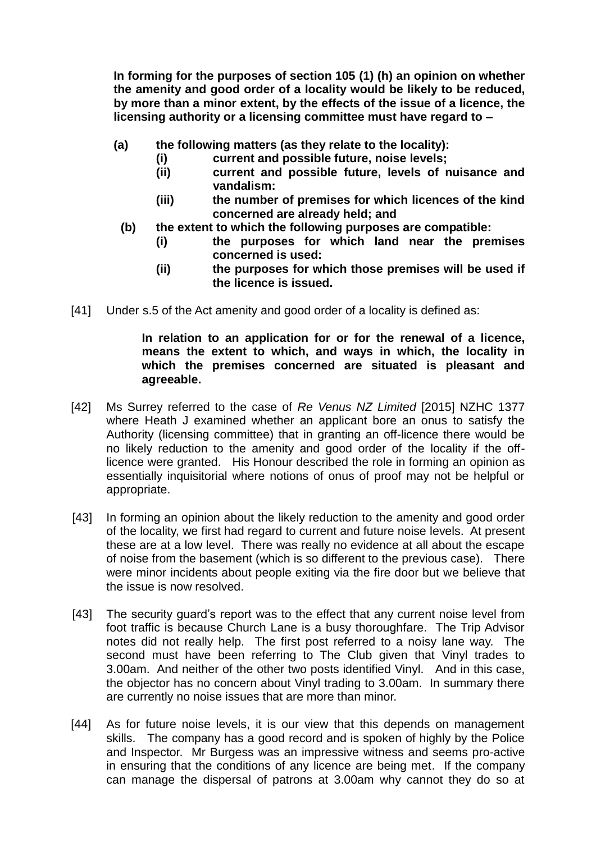**In forming for the purposes of section 105 (1) (h) an opinion on whether the amenity and good order of a locality would be likely to be reduced, by more than a minor extent, by the effects of the issue of a licence, the licensing authority or a licensing committee must have regard to –**

- **(a) the following matters (as they relate to the locality):**
	- **(i) current and possible future, noise levels;**
	- **(ii) current and possible future, levels of nuisance and vandalism:**
	- **(iii) the number of premises for which licences of the kind concerned are already held; and**
	- **(b) the extent to which the following purposes are compatible:**
		- **(i) the purposes for which land near the premises concerned is used:**
		- **(ii) the purposes for which those premises will be used if the licence is issued.**
- [41] Under s.5 of the Act amenity and good order of a locality is defined as:

#### **In relation to an application for or for the renewal of a licence, means the extent to which, and ways in which, the locality in which the premises concerned are situated is pleasant and agreeable.**

- [42] Ms Surrey referred to the case of *Re Venus NZ Limited* [2015] NZHC 1377 where Heath J examined whether an applicant bore an onus to satisfy the Authority (licensing committee) that in granting an off-licence there would be no likely reduction to the amenity and good order of the locality if the offlicence were granted. His Honour described the role in forming an opinion as essentially inquisitorial where notions of onus of proof may not be helpful or appropriate.
- [43] In forming an opinion about the likely reduction to the amenity and good order of the locality, we first had regard to current and future noise levels. At present these are at a low level. There was really no evidence at all about the escape of noise from the basement (which is so different to the previous case). There were minor incidents about people exiting via the fire door but we believe that the issue is now resolved.
- [43] The security guard's report was to the effect that any current noise level from foot traffic is because Church Lane is a busy thoroughfare. The Trip Advisor notes did not really help. The first post referred to a noisy lane way. The second must have been referring to The Club given that Vinyl trades to 3.00am. And neither of the other two posts identified Vinyl. And in this case, the objector has no concern about Vinyl trading to 3.00am. In summary there are currently no noise issues that are more than minor.
- [44] As for future noise levels, it is our view that this depends on management skills. The company has a good record and is spoken of highly by the Police and Inspector. Mr Burgess was an impressive witness and seems pro-active in ensuring that the conditions of any licence are being met. If the company can manage the dispersal of patrons at 3.00am why cannot they do so at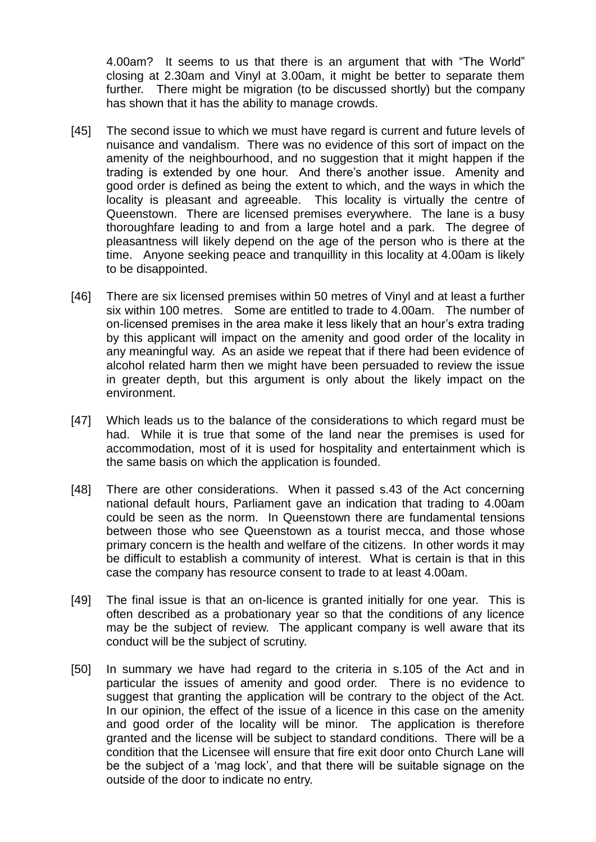4.00am? It seems to us that there is an argument that with "The World" closing at 2.30am and Vinyl at 3.00am, it might be better to separate them further. There might be migration (to be discussed shortly) but the company has shown that it has the ability to manage crowds.

- [45] The second issue to which we must have regard is current and future levels of nuisance and vandalism. There was no evidence of this sort of impact on the amenity of the neighbourhood, and no suggestion that it might happen if the trading is extended by one hour. And there's another issue. Amenity and good order is defined as being the extent to which, and the ways in which the locality is pleasant and agreeable. This locality is virtually the centre of Queenstown. There are licensed premises everywhere. The lane is a busy thoroughfare leading to and from a large hotel and a park. The degree of pleasantness will likely depend on the age of the person who is there at the time. Anyone seeking peace and tranquillity in this locality at 4.00am is likely to be disappointed.
- [46] There are six licensed premises within 50 metres of Vinyl and at least a further six within 100 metres. Some are entitled to trade to 4.00am. The number of on-licensed premises in the area make it less likely that an hour's extra trading by this applicant will impact on the amenity and good order of the locality in any meaningful way. As an aside we repeat that if there had been evidence of alcohol related harm then we might have been persuaded to review the issue in greater depth, but this argument is only about the likely impact on the environment.
- [47] Which leads us to the balance of the considerations to which regard must be had. While it is true that some of the land near the premises is used for accommodation, most of it is used for hospitality and entertainment which is the same basis on which the application is founded.
- [48] There are other considerations. When it passed s.43 of the Act concerning national default hours, Parliament gave an indication that trading to 4.00am could be seen as the norm. In Queenstown there are fundamental tensions between those who see Queenstown as a tourist mecca, and those whose primary concern is the health and welfare of the citizens. In other words it may be difficult to establish a community of interest. What is certain is that in this case the company has resource consent to trade to at least 4.00am.
- [49] The final issue is that an on-licence is granted initially for one year. This is often described as a probationary year so that the conditions of any licence may be the subject of review. The applicant company is well aware that its conduct will be the subject of scrutiny.
- [50] In summary we have had regard to the criteria in s.105 of the Act and in particular the issues of amenity and good order. There is no evidence to suggest that granting the application will be contrary to the object of the Act. In our opinion, the effect of the issue of a licence in this case on the amenity and good order of the locality will be minor. The application is therefore granted and the license will be subject to standard conditions. There will be a condition that the Licensee will ensure that fire exit door onto Church Lane will be the subject of a 'mag lock', and that there will be suitable signage on the outside of the door to indicate no entry.